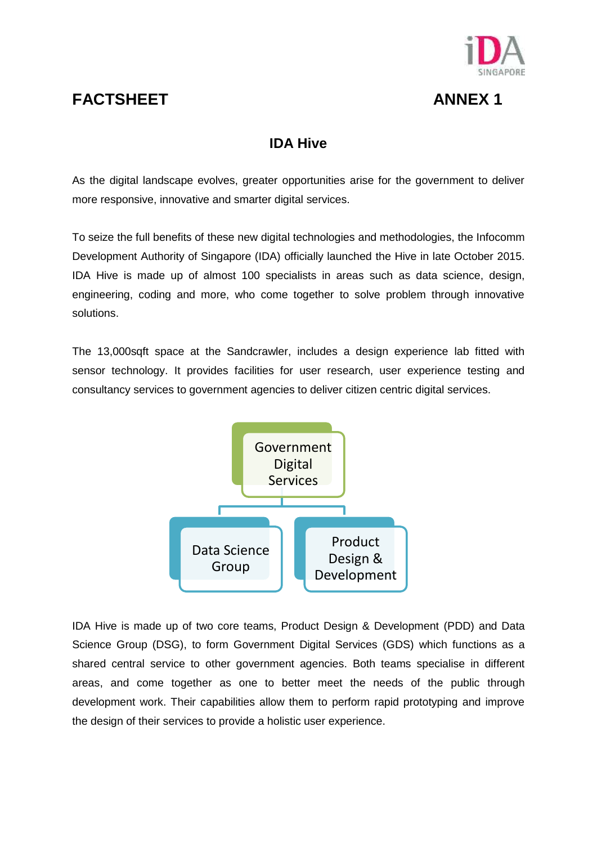

## **FACTSHEET ANNEX 1**

# **IDA Hive**

As the digital landscape evolves, greater opportunities arise for the government to deliver more responsive, innovative and smarter digital services.

To seize the full benefits of these new digital technologies and methodologies, the Infocomm Development Authority of Singapore (IDA) officially launched the Hive in late October 2015. IDA Hive is made up of almost 100 specialists in areas such as data science, design, engineering, coding and more, who come together to solve problem through innovative solutions.

The 13,000sqft space at the Sandcrawler, includes a design experience lab fitted with sensor technology. It provides facilities for user research, user experience testing and consultancy services to government agencies to deliver citizen centric digital services.



IDA Hive is made up of two core teams, Product Design & Development (PDD) and Data Science Group (DSG), to form Government Digital Services (GDS) which functions as a shared central service to other government agencies. Both teams specialise in different areas, and come together as one to better meet the needs of the public through development work. Their capabilities allow them to perform rapid prototyping and improve the design of their services to provide a holistic user experience.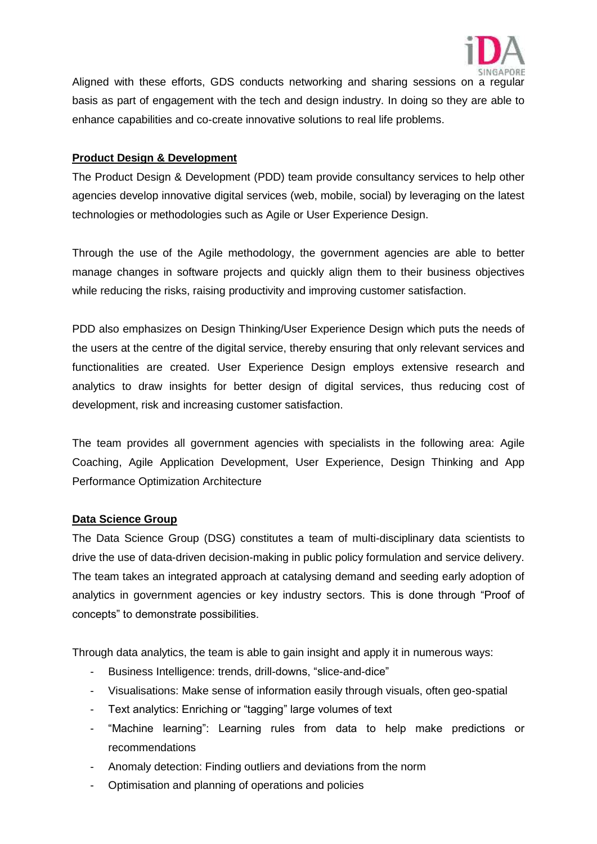

Aligned with these efforts, GDS conducts networking and sharing sessions on a regular basis as part of engagement with the tech and design industry. In doing so they are able to enhance capabilities and co-create innovative solutions to real life problems.

### **Product Design & Development**

The Product Design & Development (PDD) team provide consultancy services to help other agencies develop innovative digital services (web, mobile, social) by leveraging on the latest technologies or methodologies such as Agile or User Experience Design.

Through the use of the Agile methodology, the government agencies are able to better manage changes in software projects and quickly align them to their business objectives while reducing the risks, raising productivity and improving customer satisfaction.

PDD also emphasizes on Design Thinking/User Experience Design which puts the needs of the users at the centre of the digital service, thereby ensuring that only relevant services and functionalities are created. User Experience Design employs extensive research and analytics to draw insights for better design of digital services, thus reducing cost of development, risk and increasing customer satisfaction.

The team provides all government agencies with specialists in the following area: Agile Coaching, Agile Application Development, User Experience, Design Thinking and App Performance Optimization Architecture

#### **Data Science Group**

The Data Science Group (DSG) constitutes a team of multi-disciplinary data scientists to drive the use of data-driven decision-making in public policy formulation and service delivery. The team takes an integrated approach at catalysing demand and seeding early adoption of analytics in government agencies or key industry sectors. This is done through "Proof of concepts" to demonstrate possibilities.

Through data analytics, the team is able to gain insight and apply it in numerous ways:

- Business Intelligence: trends, drill-downs, "slice-and-dice"
- Visualisations: Make sense of information easily through visuals, often geo-spatial
- Text analytics: Enriching or "tagging" large volumes of text
- "Machine learning": Learning rules from data to help make predictions or recommendations
- Anomaly detection: Finding outliers and deviations from the norm
- Optimisation and planning of operations and policies